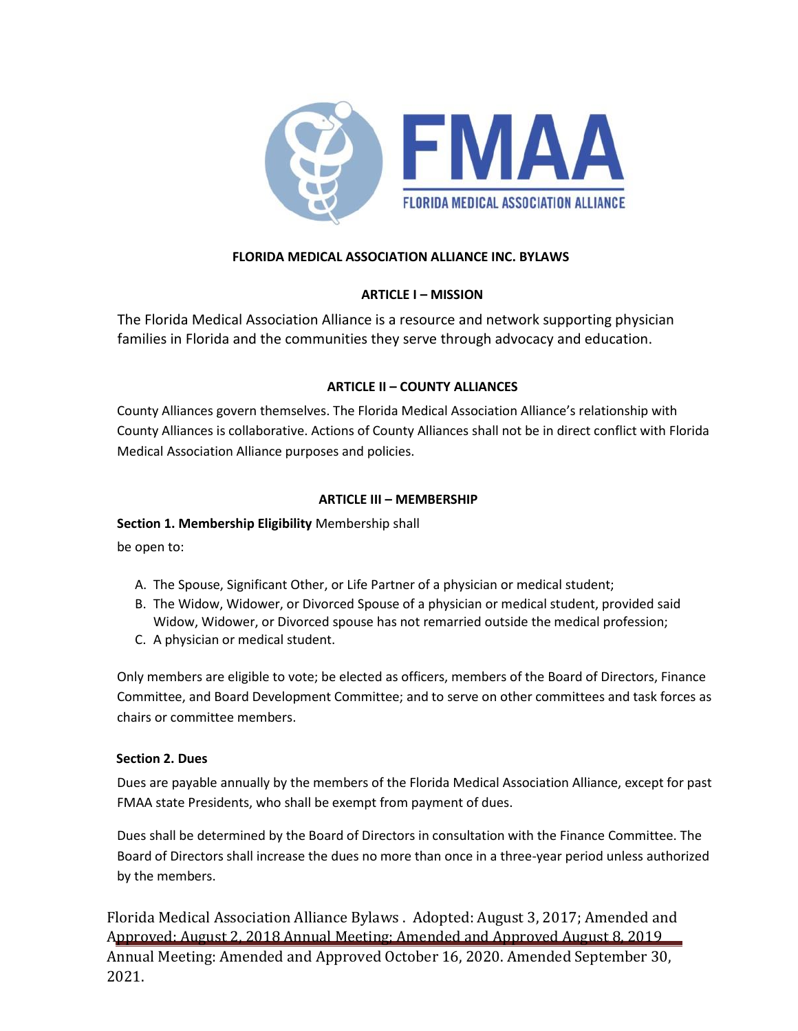

# **FLORIDA MEDICAL ASSOCIATION ALLIANCE INC. BYLAWS**

## **ARTICLE I – MISSION**

The Florida Medical Association Alliance is a resource and network supporting physician families in Florida and the communities they serve through advocacy and education.

## **ARTICLE II – COUNTY ALLIANCES**

County Alliances govern themselves. The Florida Medical Association Alliance's relationship with County Alliances is collaborative. Actions of County Alliances shall not be in direct conflict with Florida Medical Association Alliance purposes and policies.

## **ARTICLE III – MEMBERSHIP**

## **Section 1. Membership Eligibility** Membership shall

be open to:

- A. The Spouse, Significant Other, or Life Partner of a physician or medical student;
- B. The Widow, Widower, or Divorced Spouse of a physician or medical student, provided said Widow, Widower, or Divorced spouse has not remarried outside the medical profession;
- C. A physician or medical student.

Only members are eligible to vote; be elected as officers, members of the Board of Directors, Finance Committee, and Board Development Committee; and to serve on other committees and task forces as chairs or committee members.

## **Section 2. Dues**

Dues are payable annually by the members of the Florida Medical Association Alliance, except for past FMAA state Presidents, who shall be exempt from payment of dues.

Dues shall be determined by the Board of Directors in consultation with the Finance Committee. The Board of Directors shall increase the dues no more than once in a three-year period unless authorized by the members.

Florida Medical Association Alliance Bylaws . Adopted: August 3, 2017; Amended and Approved: August 2, 2018 Annual Meeting; Amended and Approved August 8, 2019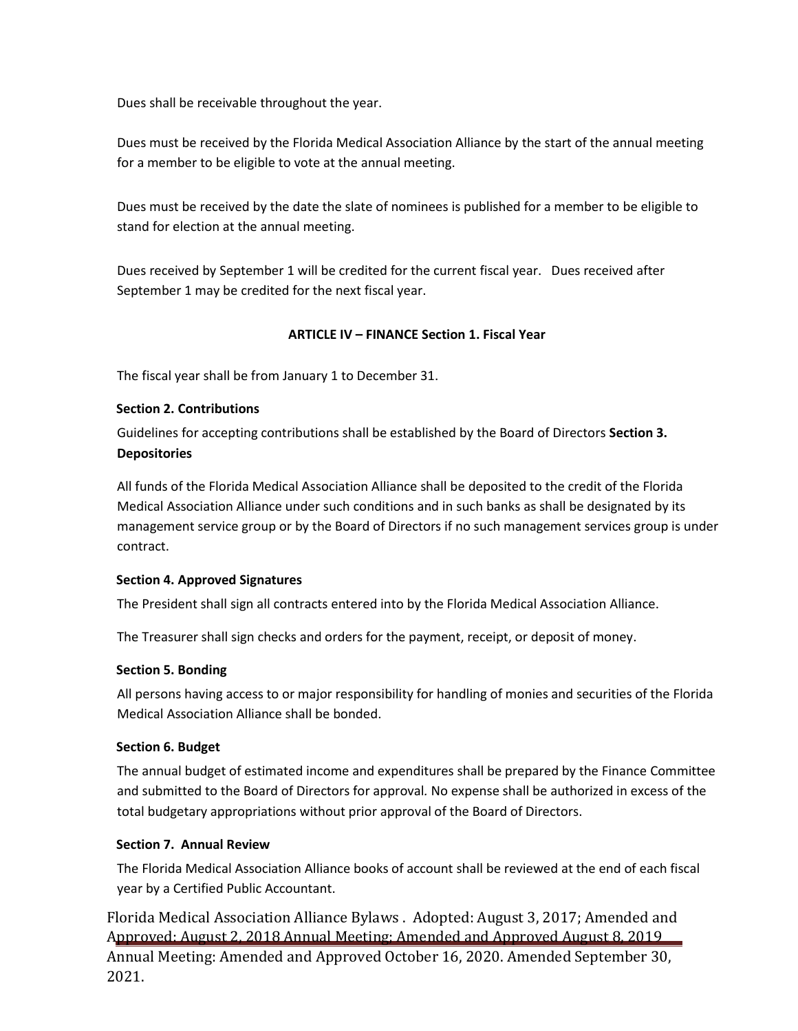Dues shall be receivable throughout the year.

Dues must be received by the Florida Medical Association Alliance by the start of the annual meeting for a member to be eligible to vote at the annual meeting.

Dues must be received by the date the slate of nominees is published for a member to be eligible to stand for election at the annual meeting.

Dues received by September 1 will be credited for the current fiscal year. Dues received after September 1 may be credited for the next fiscal year.

## **ARTICLE IV – FINANCE Section 1. Fiscal Year**

The fiscal year shall be from January 1 to December 31.

### **Section 2. Contributions**

Guidelines for accepting contributions shall be established by the Board of Directors **Section 3. Depositories**

All funds of the Florida Medical Association Alliance shall be deposited to the credit of the Florida Medical Association Alliance under such conditions and in such banks as shall be designated by its management service group or by the Board of Directors if no such management services group is under contract.

#### **Section 4. Approved Signatures**

The President shall sign all contracts entered into by the Florida Medical Association Alliance.

The Treasurer shall sign checks and orders for the payment, receipt, or deposit of money.

#### **Section 5. Bonding**

All persons having access to or major responsibility for handling of monies and securities of the Florida Medical Association Alliance shall be bonded.

#### **Section 6. Budget**

The annual budget of estimated income and expenditures shall be prepared by the Finance Committee and submitted to the Board of Directors for approval*.* No expense shall be authorized in excess of the total budgetary appropriations without prior approval of the Board of Directors.

## **Section 7. Annual Review**

The Florida Medical Association Alliance books of account shall be reviewed at the end of each fiscal year by a Certified Public Accountant.

Florida Medical Association Alliance Bylaws . Adopted: August 3, 2017; Amended and Approved: August 2, 2018 Annual Meeting; Amended and Approved August 8, 2019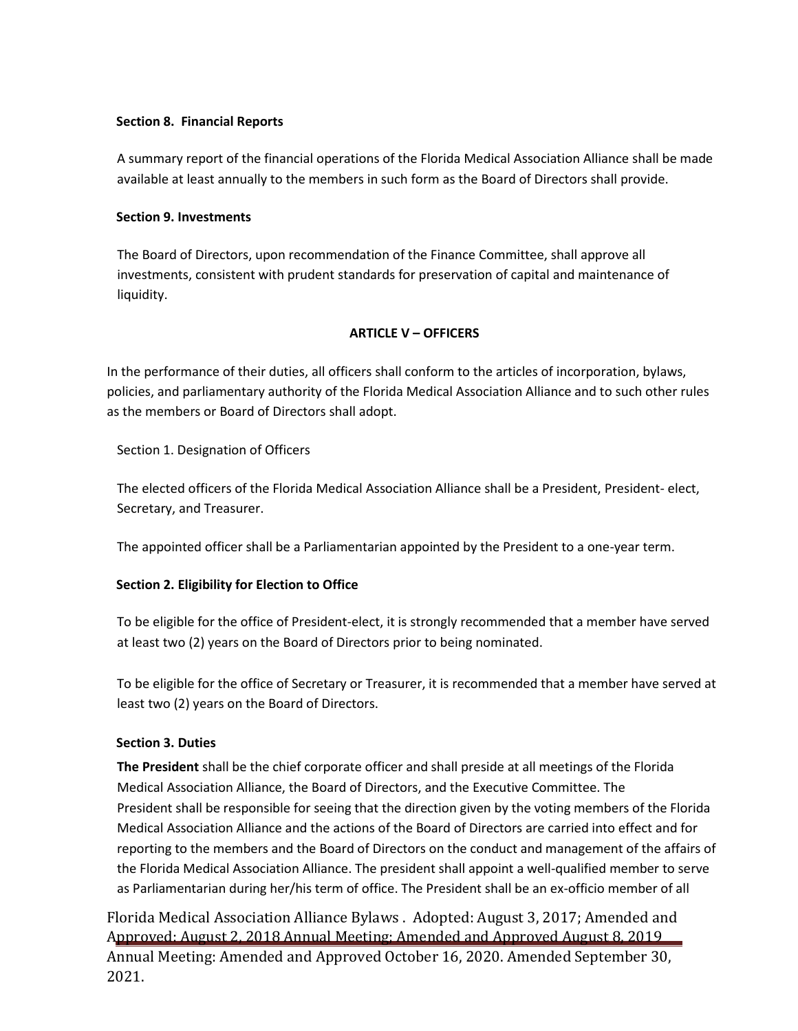### **Section 8. Financial Reports**

A summary report of the financial operations of the Florida Medical Association Alliance shall be made available at least annually to the members in such form as the Board of Directors shall provide.

#### **Section 9. Investments**

The Board of Directors, upon recommendation of the Finance Committee, shall approve all investments, consistent with prudent standards for preservation of capital and maintenance of liquidity.

## **ARTICLE V – OFFICERS**

In the performance of their duties, all officers shall conform to the articles of incorporation, bylaws, policies, and parliamentary authority of the Florida Medical Association Alliance and to such other rules as the members or Board of Directors shall adopt.

Section 1. Designation of Officers

The elected officers of the Florida Medical Association Alliance shall be a President, President- elect, Secretary, and Treasurer.

The appointed officer shall be a Parliamentarian appointed by the President to a one-year term.

## **Section 2. Eligibility for Election to Office**

To be eligible for the office of President-elect, it is strongly recommended that a member have served at least two (2) years on the Board of Directors prior to being nominated.

To be eligible for the office of Secretary or Treasurer, it is recommended that a member have served at least two (2) years on the Board of Directors.

## **Section 3. Duties**

**The President** shall be the chief corporate officer and shall preside at all meetings of the Florida Medical Association Alliance, the Board of Directors, and the Executive Committee. The President shall be responsible for seeing that the direction given by the voting members of the Florida Medical Association Alliance and the actions of the Board of Directors are carried into effect and for reporting to the members and the Board of Directors on the conduct and management of the affairs of the Florida Medical Association Alliance. The president shall appoint a well-qualified member to serve as Parliamentarian during her/his term of office. The President shall be an ex-officio member of all

Florida Medical Association Alliance Bylaws . Adopted: August 3, 2017; Amended and Approved: August 2, 2018 Annual Meeting; Amended and Approved August 8, 2019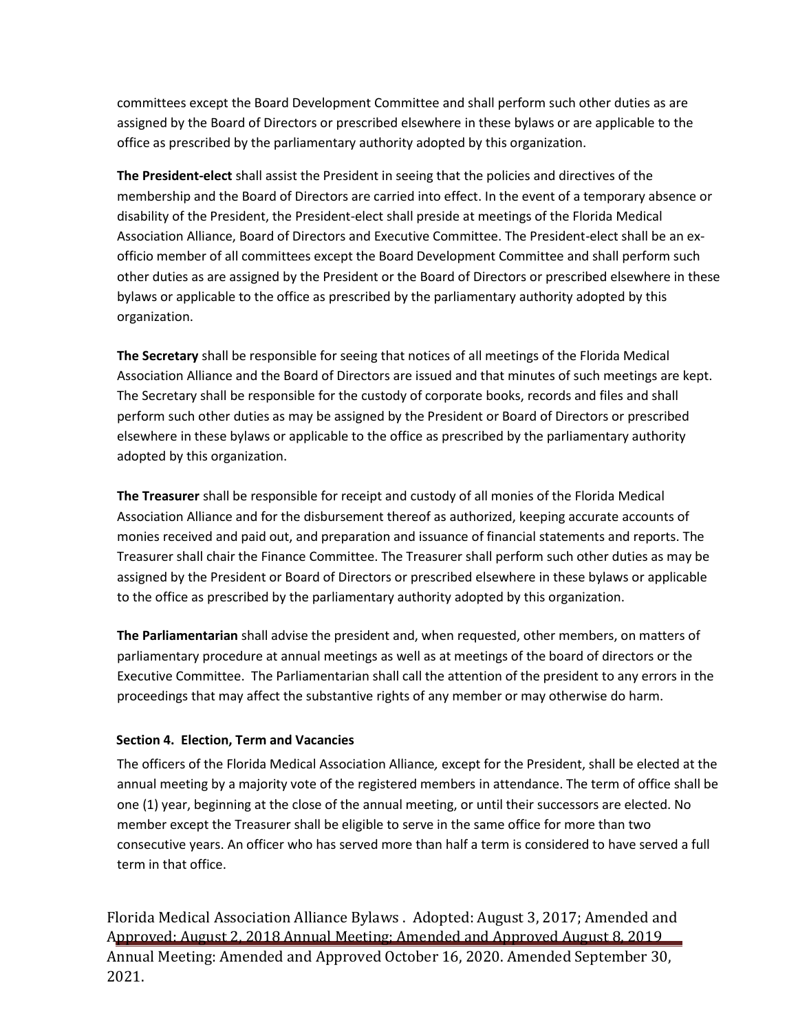committees except the Board Development Committee and shall perform such other duties as are assigned by the Board of Directors or prescribed elsewhere in these bylaws or are applicable to the office as prescribed by the parliamentary authority adopted by this organization.

**The President-elect** shall assist the President in seeing that the policies and directives of the membership and the Board of Directors are carried into effect. In the event of a temporary absence or disability of the President, the President-elect shall preside at meetings of the Florida Medical Association Alliance, Board of Directors and Executive Committee. The President-elect shall be an exofficio member of all committees except the Board Development Committee and shall perform such other duties as are assigned by the President or the Board of Directors or prescribed elsewhere in these bylaws or applicable to the office as prescribed by the parliamentary authority adopted by this organization.

**The Secretary** shall be responsible for seeing that notices of all meetings of the Florida Medical Association Alliance and the Board of Directors are issued and that minutes of such meetings are kept. The Secretary shall be responsible for the custody of corporate books, records and files and shall perform such other duties as may be assigned by the President or Board of Directors or prescribed elsewhere in these bylaws or applicable to the office as prescribed by the parliamentary authority adopted by this organization.

**The Treasurer** shall be responsible for receipt and custody of all monies of the Florida Medical Association Alliance and for the disbursement thereof as authorized, keeping accurate accounts of monies received and paid out, and preparation and issuance of financial statements and reports. The Treasurer shall chair the Finance Committee. The Treasurer shall perform such other duties as may be assigned by the President or Board of Directors or prescribed elsewhere in these bylaws or applicable to the office as prescribed by the parliamentary authority adopted by this organization.

**The Parliamentarian** shall advise the president and, when requested, other members, on matters of parliamentary procedure at annual meetings as well as at meetings of the board of directors or the Executive Committee. The Parliamentarian shall call the attention of the president to any errors in the proceedings that may affect the substantive rights of any member or may otherwise do harm.

## **Section 4. Election, Term and Vacancies**

The officers of the Florida Medical Association Alliance*,* except for the President, shall be elected at the annual meeting by a majority vote of the registered members in attendance. The term of office shall be one (1) year, beginning at the close of the annual meeting, or until their successors are elected. No member except the Treasurer shall be eligible to serve in the same office for more than two consecutive years. An officer who has served more than half a term is considered to have served a full term in that office.

Florida Medical Association Alliance Bylaws . Adopted: August 3, 2017; Amended and Approved: August 2, 2018 Annual Meeting; Amended and Approved August 8, 2019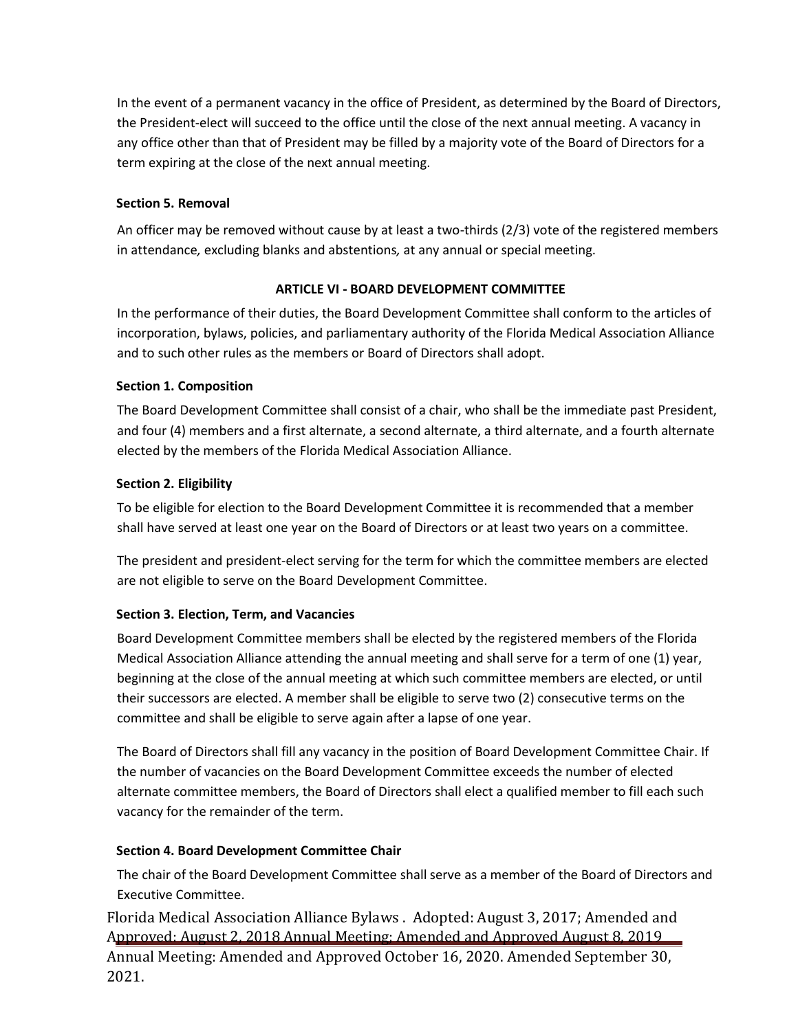In the event of a permanent vacancy in the office of President, as determined by the Board of Directors, the President-elect will succeed to the office until the close of the next annual meeting. A vacancy in any office other than that of President may be filled by a majority vote of the Board of Directors for a term expiring at the close of the next annual meeting.

## **Section 5. Removal**

An officer may be removed without cause by at least a two-thirds (2/3) vote of the registered members in attendance*,* excluding blanks and abstentions*,* at any annual or special meeting.

## **ARTICLE VI - BOARD DEVELOPMENT COMMITTEE**

In the performance of their duties, the Board Development Committee shall conform to the articles of incorporation, bylaws, policies, and parliamentary authority of the Florida Medical Association Alliance and to such other rules as the members or Board of Directors shall adopt.

## **Section 1. Composition**

The Board Development Committee shall consist of a chair, who shall be the immediate past President, and four (4) members and a first alternate, a second alternate, a third alternate, and a fourth alternate elected by the members of the Florida Medical Association Alliance.

## **Section 2. Eligibility**

To be eligible for election to the Board Development Committee it is recommended that a member shall have served at least one year on the Board of Directors or at least two years on a committee.

The president and president-elect serving for the term for which the committee members are elected are not eligible to serve on the Board Development Committee.

## **Section 3. Election, Term, and Vacancies**

Board Development Committee members shall be elected by the registered members of the Florida Medical Association Alliance attending the annual meeting and shall serve for a term of one (1) year, beginning at the close of the annual meeting at which such committee members are elected, or until their successors are elected. A member shall be eligible to serve two (2) consecutive terms on the committee and shall be eligible to serve again after a lapse of one year.

The Board of Directors shall fill any vacancy in the position of Board Development Committee Chair. If the number of vacancies on the Board Development Committee exceeds the number of elected alternate committee members, the Board of Directors shall elect a qualified member to fill each such vacancy for the remainder of the term.

## **Section 4. Board Development Committee Chair**

The chair of the Board Development Committee shall serve as a member of the Board of Directors and Executive Committee.

Florida Medical Association Alliance Bylaws . Adopted: August 3, 2017; Amended and Approved: August 2, 2018 Annual Meeting; Amended and Approved August 8, 2019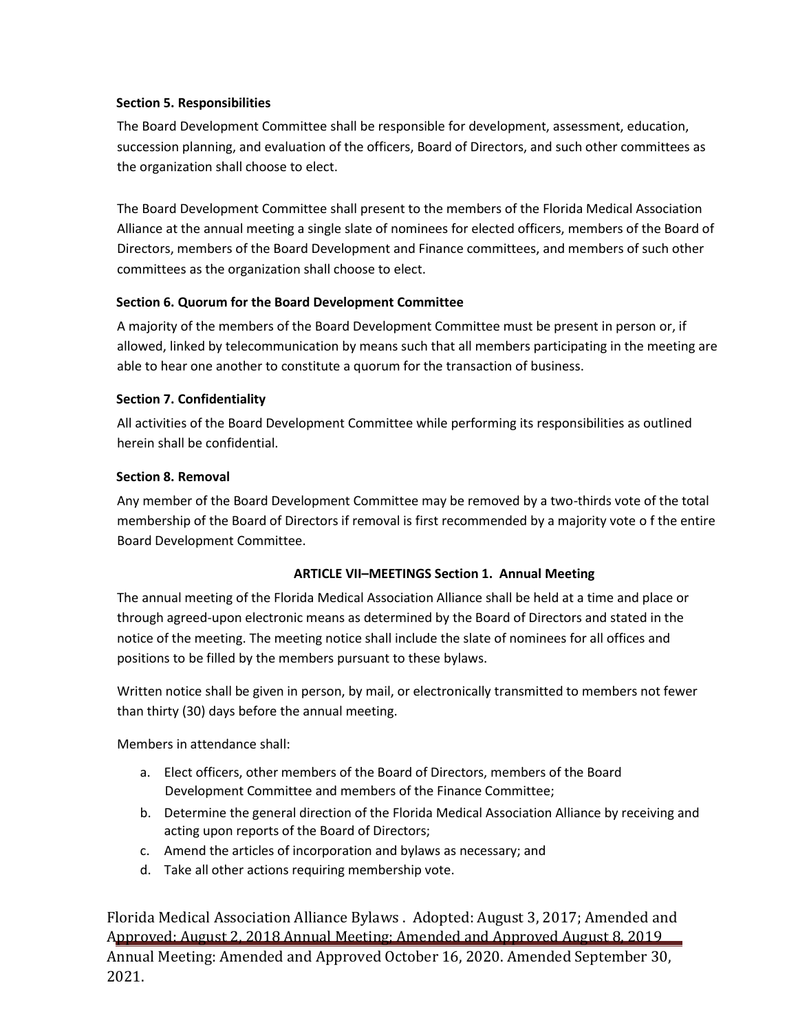### **Section 5. Responsibilities**

The Board Development Committee shall be responsible for development, assessment, education, succession planning, and evaluation of the officers, Board of Directors, and such other committees as the organization shall choose to elect.

The Board Development Committee shall present to the members of the Florida Medical Association Alliance at the annual meeting a single slate of nominees for elected officers, members of the Board of Directors, members of the Board Development and Finance committees, and members of such other committees as the organization shall choose to elect.

## **Section 6. Quorum for the Board Development Committee**

A majority of the members of the Board Development Committee must be present in person or, if allowed, linked by telecommunication by means such that all members participating in the meeting are able to hear one another to constitute a quorum for the transaction of business.

### **Section 7. Confidentiality**

All activities of the Board Development Committee while performing its responsibilities as outlined herein shall be confidential.

## **Section 8. Removal**

Any member of the Board Development Committee may be removed by a two-thirds vote of the total membership of the Board of Directors if removal is first recommended by a majority vote o f the entire Board Development Committee.

## **ARTICLE VII–MEETINGS Section 1. Annual Meeting**

The annual meeting of the Florida Medical Association Alliance shall be held at a time and place or through agreed-upon electronic means as determined by the Board of Directors and stated in the notice of the meeting. The meeting notice shall include the slate of nominees for all offices and positions to be filled by the members pursuant to these bylaws.

Written notice shall be given in person, by mail, or electronically transmitted to members not fewer than thirty (30) days before the annual meeting.

Members in attendance shall:

- a. Elect officers, other members of the Board of Directors, members of the Board Development Committee and members of the Finance Committee;
- b. Determine the general direction of the Florida Medical Association Alliance by receiving and acting upon reports of the Board of Directors;
- c. Amend the articles of incorporation and bylaws as necessary; and
- d. Take all other actions requiring membership vote.

Florida Medical Association Alliance Bylaws . Adopted: August 3, 2017; Amended and Approved: August 2, 2018 Annual Meeting; Amended and Approved August 8, 2019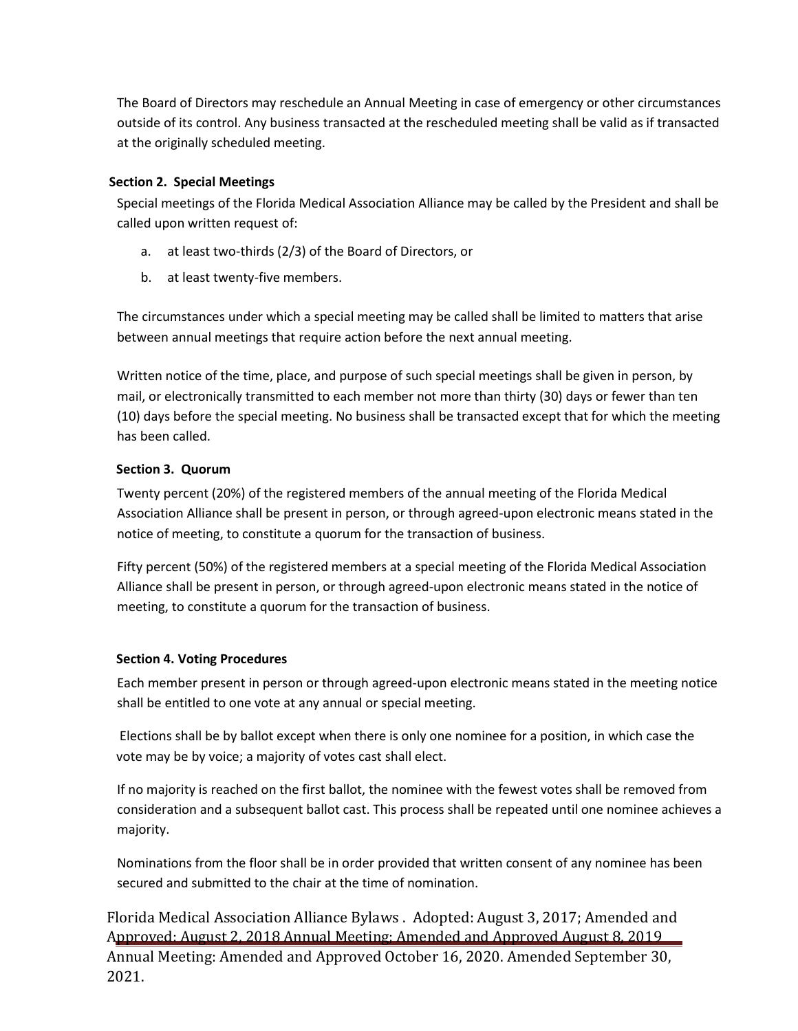The Board of Directors may reschedule an Annual Meeting in case of emergency or other circumstances outside of its control. Any business transacted at the rescheduled meeting shall be valid as if transacted at the originally scheduled meeting.

### **Section 2. Special Meetings**

Special meetings of the Florida Medical Association Alliance may be called by the President and shall be called upon written request of:

- a. at least two-thirds (2/3) of the Board of Directors, or
- b. at least twenty-five members.

The circumstances under which a special meeting may be called shall be limited to matters that arise between annual meetings that require action before the next annual meeting.

Written notice of the time, place, and purpose of such special meetings shall be given in person, by mail, or electronically transmitted to each member not more than thirty (30) days or fewer than ten (10) days before the special meeting. No business shall be transacted except that for which the meeting has been called.

## **Section 3. Quorum**

Twenty percent (20%) of the registered members of the annual meeting of the Florida Medical Association Alliance shall be present in person, or through agreed-upon electronic means stated in the notice of meeting, to constitute a quorum for the transaction of business.

Fifty percent (50%) of the registered members at a special meeting of the Florida Medical Association Alliance shall be present in person, or through agreed-upon electronic means stated in the notice of meeting, to constitute a quorum for the transaction of business.

## **Section 4. Voting Procedures**

Each member present in person or through agreed-upon electronic means stated in the meeting notice shall be entitled to one vote at any annual or special meeting.

Elections shall be by ballot except when there is only one nominee for a position, in which case the vote may be by voice; a majority of votes cast shall elect.

If no majority is reached on the first ballot, the nominee with the fewest votes shall be removed from consideration and a subsequent ballot cast. This process shall be repeated until one nominee achieves a majority.

Nominations from the floor shall be in order provided that written consent of any nominee has been secured and submitted to the chair at the time of nomination.

Florida Medical Association Alliance Bylaws . Adopted: August 3, 2017; Amended and Approved: August 2, 2018 Annual Meeting; Amended and Approved August 8, 2019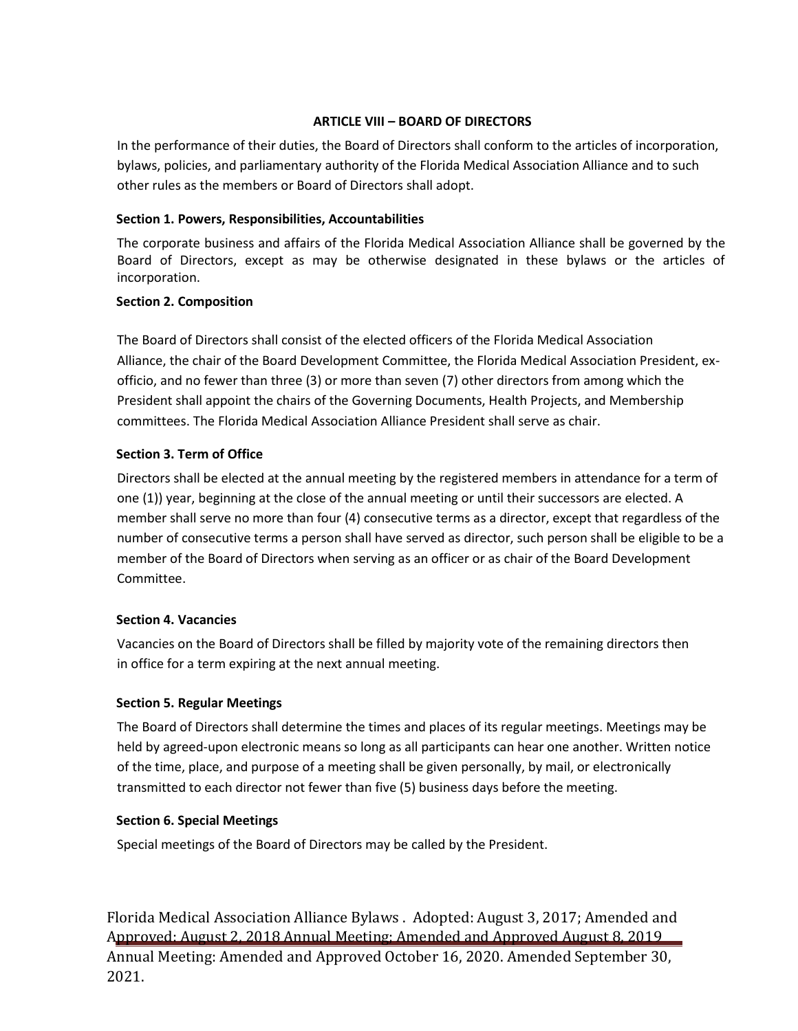## **ARTICLE VIII – BOARD OF DIRECTORS**

In the performance of their duties, the Board of Directors shall conform to the articles of incorporation, bylaws, policies, and parliamentary authority of the Florida Medical Association Alliance and to such other rules as the members or Board of Directors shall adopt.

### **Section 1. Powers, Responsibilities, Accountabilities**

The corporate business and affairs of the Florida Medical Association Alliance shall be governed by the Board of Directors, except as may be otherwise designated in these bylaws or the articles of incorporation.

### **Section 2. Composition**

The Board of Directors shall consist of the elected officers of the Florida Medical Association Alliance, the chair of the Board Development Committee, the Florida Medical Association President, exofficio, and no fewer than three (3) or more than seven (7) other directors from among which the President shall appoint the chairs of the Governing Documents, Health Projects, and Membership committees. The Florida Medical Association Alliance President shall serve as chair.

## **Section 3. Term of Office**

Directors shall be elected at the annual meeting by the registered members in attendance for a term of one (1)) year, beginning at the close of the annual meeting or until their successors are elected. A member shall serve no more than four (4) consecutive terms as a director, except that regardless of the number of consecutive terms a person shall have served as director, such person shall be eligible to be a member of the Board of Directors when serving as an officer or as chair of the Board Development Committee.

#### **Section 4. Vacancies**

Vacancies on the Board of Directors shall be filled by majority vote of the remaining directors then in office for a term expiring at the next annual meeting.

#### **Section 5. Regular Meetings**

The Board of Directors shall determine the times and places of its regular meetings. Meetings may be held by agreed-upon electronic means so long as all participants can hear one another. Written notice of the time, place, and purpose of a meeting shall be given personally, by mail, or electronically transmitted to each director not fewer than five (5) business days before the meeting.

#### **Section 6. Special Meetings**

Special meetings of the Board of Directors may be called by the President.

Florida Medical Association Alliance Bylaws . Adopted: August 3, 2017; Amended and Approved: August 2, 2018 Annual Meeting; Amended and Approved August 8, 2019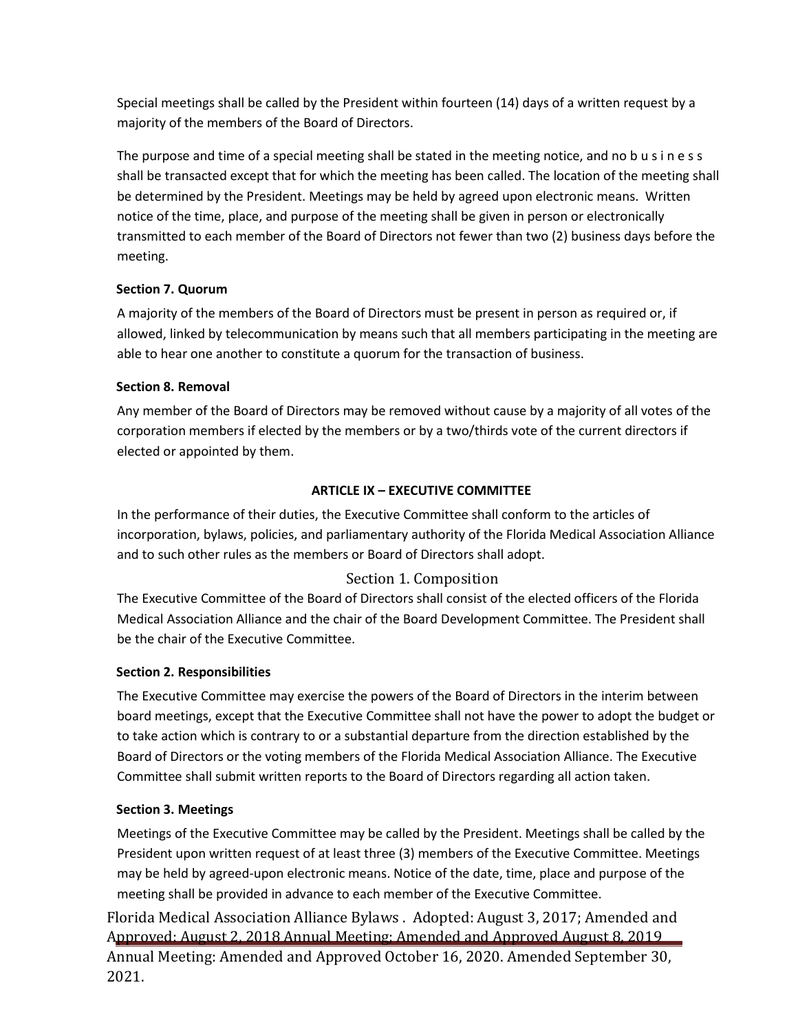Special meetings shall be called by the President within fourteen (14) days of a written request by a majority of the members of the Board of Directors.

The purpose and time of a special meeting shall be stated in the meeting notice, and no b u s i n e s s shall be transacted except that for which the meeting has been called. The location of the meeting shall be determined by the President. Meetings may be held by agreed upon electronic means. Written notice of the time, place, and purpose of the meeting shall be given in person or electronically transmitted to each member of the Board of Directors not fewer than two (2) business days before the meeting.

# **Section 7. Quorum**

A majority of the members of the Board of Directors must be present in person as required or, if allowed, linked by telecommunication by means such that all members participating in the meeting are able to hear one another to constitute a quorum for the transaction of business.

# **Section 8. Removal**

Any member of the Board of Directors may be removed without cause by a majority of all votes of the corporation members if elected by the members or by a two/thirds vote of the current directors if elected or appointed by them.

# **ARTICLE IX – EXECUTIVE COMMITTEE**

In the performance of their duties, the Executive Committee shall conform to the articles of incorporation, bylaws, policies, and parliamentary authority of the Florida Medical Association Alliance and to such other rules as the members or Board of Directors shall adopt.

# Section 1. Composition

The Executive Committee of the Board of Directors shall consist of the elected officers of the Florida Medical Association Alliance and the chair of the Board Development Committee. The President shall be the chair of the Executive Committee.

# **Section 2. Responsibilities**

The Executive Committee may exercise the powers of the Board of Directors in the interim between board meetings, except that the Executive Committee shall not have the power to adopt the budget or to take action which is contrary to or a substantial departure from the direction established by the Board of Directors or the voting members of the Florida Medical Association Alliance. The Executive Committee shall submit written reports to the Board of Directors regarding all action taken.

# **Section 3. Meetings**

Meetings of the Executive Committee may be called by the President. Meetings shall be called by the President upon written request of at least three (3) members of the Executive Committee. Meetings may be held by agreed-upon electronic means. Notice of the date, time, place and purpose of the meeting shall be provided in advance to each member of the Executive Committee.

Florida Medical Association Alliance Bylaws . Adopted: August 3, 2017; Amended and Approved: August 2, 2018 Annual Meeting; Amended and Approved August 8, 2019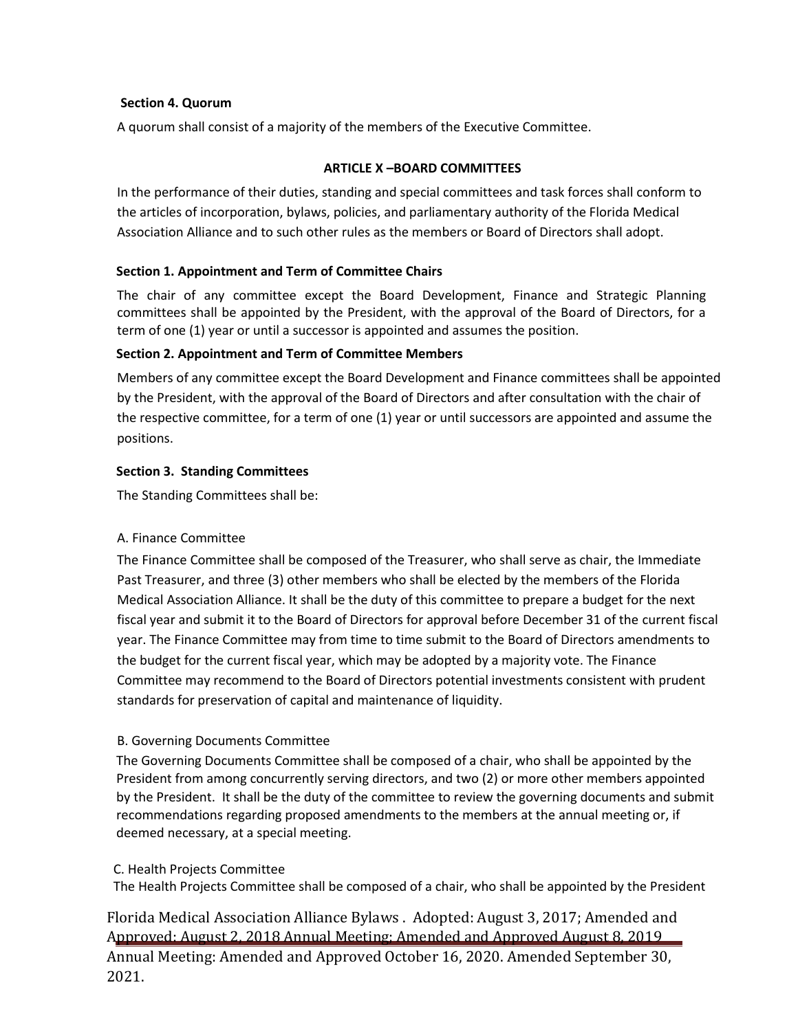#### **Section 4. Quorum**

A quorum shall consist of a majority of the members of the Executive Committee.

### **ARTICLE X –BOARD COMMITTEES**

In the performance of their duties, standing and special committees and task forces shall conform to the articles of incorporation, bylaws, policies, and parliamentary authority of the Florida Medical Association Alliance and to such other rules as the members or Board of Directors shall adopt.

### **Section 1. Appointment and Term of Committee Chairs**

The chair of any committee except the Board Development, Finance and Strategic Planning committees shall be appointed by the President, with the approval of the Board of Directors, for a term of one (1) year or until a successor is appointed and assumes the position.

### **Section 2. Appointment and Term of Committee Members**

Members of any committee except the Board Development and Finance committees shall be appointed by the President, with the approval of the Board of Directors and after consultation with the chair of the respective committee, for a term of one (1) year or until successors are appointed and assume the positions.

### **Section 3. Standing Committees**

The Standing Committees shall be:

#### A. Finance Committee

The Finance Committee shall be composed of the Treasurer, who shall serve as chair, the Immediate Past Treasurer, and three (3) other members who shall be elected by the members of the Florida Medical Association Alliance. It shall be the duty of this committee to prepare a budget for the next fiscal year and submit it to the Board of Directors for approval before December 31 of the current fiscal year. The Finance Committee may from time to time submit to the Board of Directors amendments to the budget for the current fiscal year, which may be adopted by a majority vote. The Finance Committee may recommend to the Board of Directors potential investments consistent with prudent standards for preservation of capital and maintenance of liquidity.

## B. Governing Documents Committee

The Governing Documents Committee shall be composed of a chair, who shall be appointed by the President from among concurrently serving directors, and two (2) or more other members appointed by the President. It shall be the duty of the committee to review the governing documents and submit recommendations regarding proposed amendments to the members at the annual meeting or, if deemed necessary, at a special meeting.

#### C. Health Projects Committee

The Health Projects Committee shall be composed of a chair, who shall be appointed by the President

# Florida Medical Association Alliance Bylaws . Adopted: August 3, 2017; Amended and Approved: August 2, 2018 Annual Meeting; Amended and Approved August 8, 2019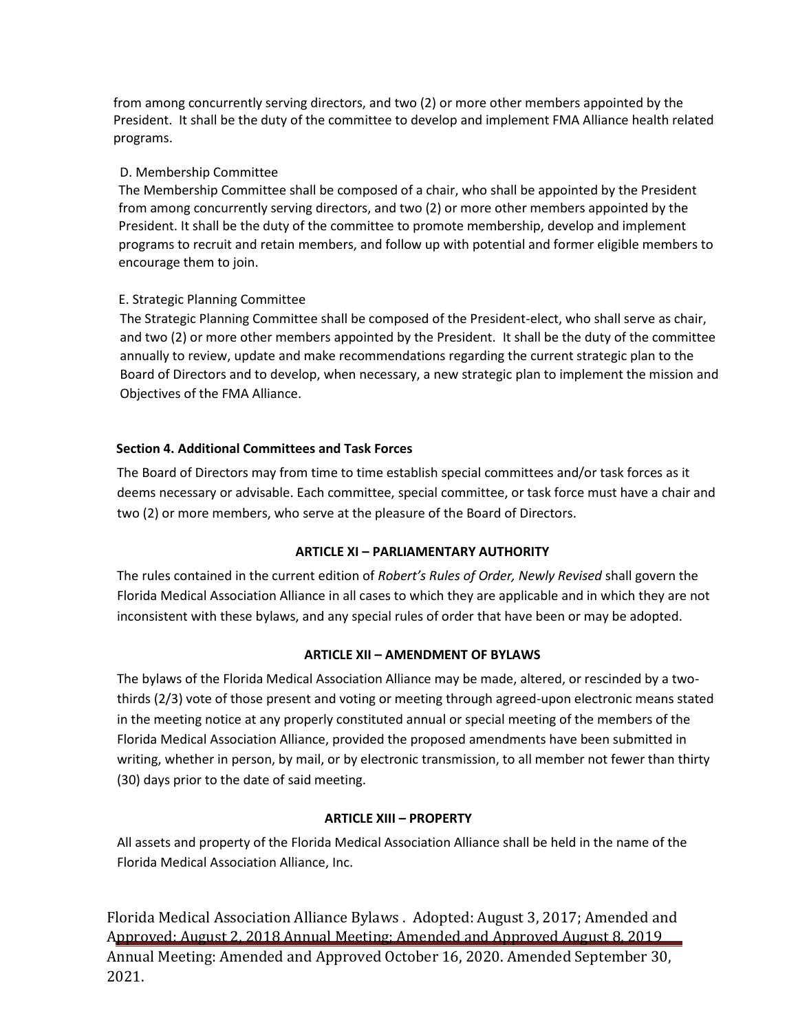from among concurrently serving directors, and two (2) or more other members appointed by the President. It shall be the duty of the committee to develop and implement FMA Alliance health related programs.

# D. Membership Committee

The Membership Committee shall be composed of a chair, who shall be appointed by the President from among concurrently serving directors, and two (2) or more other members appointed by the President. It shall be the duty of the committee to promote membership, develop and implement programs to recruit and retain members, and follow up with potential and former eligible members to encourage them to join.

# E. Strategic Planning Committee

 The Strategic Planning Committee shall be composed of the President-elect, who shall serve as chair, and two (2) or more other members appointed by the President. It shall be the duty of the committee annually to review, update and make recommendations regarding the current strategic plan to the Board of Directors and to develop, when necessary, a new strategic plan to implement the mission and Objectives of the FMA Alliance.

# **Section 4. Additional Committees and Task Forces**

The Board of Directors may from time to time establish special committees and/or task forces as it deems necessary or advisable. Each committee, special committee, or task force must have a chair and two (2) or more members, who serve at the pleasure of the Board of Directors.

## **ARTICLE XI – PARLIAMENTARY AUTHORITY**

The rules contained in the current edition of *Robert's Rules of Order, Newly Revised* shall govern the Florida Medical Association Alliance in all cases to which they are applicable and in which they are not inconsistent with these bylaws, and any special rules of order that have been or may be adopted.

## **ARTICLE XII – AMENDMENT OF BYLAWS**

The bylaws of the Florida Medical Association Alliance may be made, altered, or rescinded by a twothirds (2/3) vote of those present and voting or meeting through agreed-upon electronic means stated in the meeting notice at any properly constituted annual or special meeting of the members of the Florida Medical Association Alliance, provided the proposed amendments have been submitted in writing, whether in person, by mail, or by electronic transmission, to all member not fewer than thirty (30) days prior to the date of said meeting.

## **ARTICLE XIII – PROPERTY**

All assets and property of the Florida Medical Association Alliance shall be held in the name of the Florida Medical Association Alliance, Inc.

Florida Medical Association Alliance Bylaws . Adopted: August 3, 2017; Amended and Approved: August 2, 2018 Annual Meeting; Amended and Approved August 8, 2019